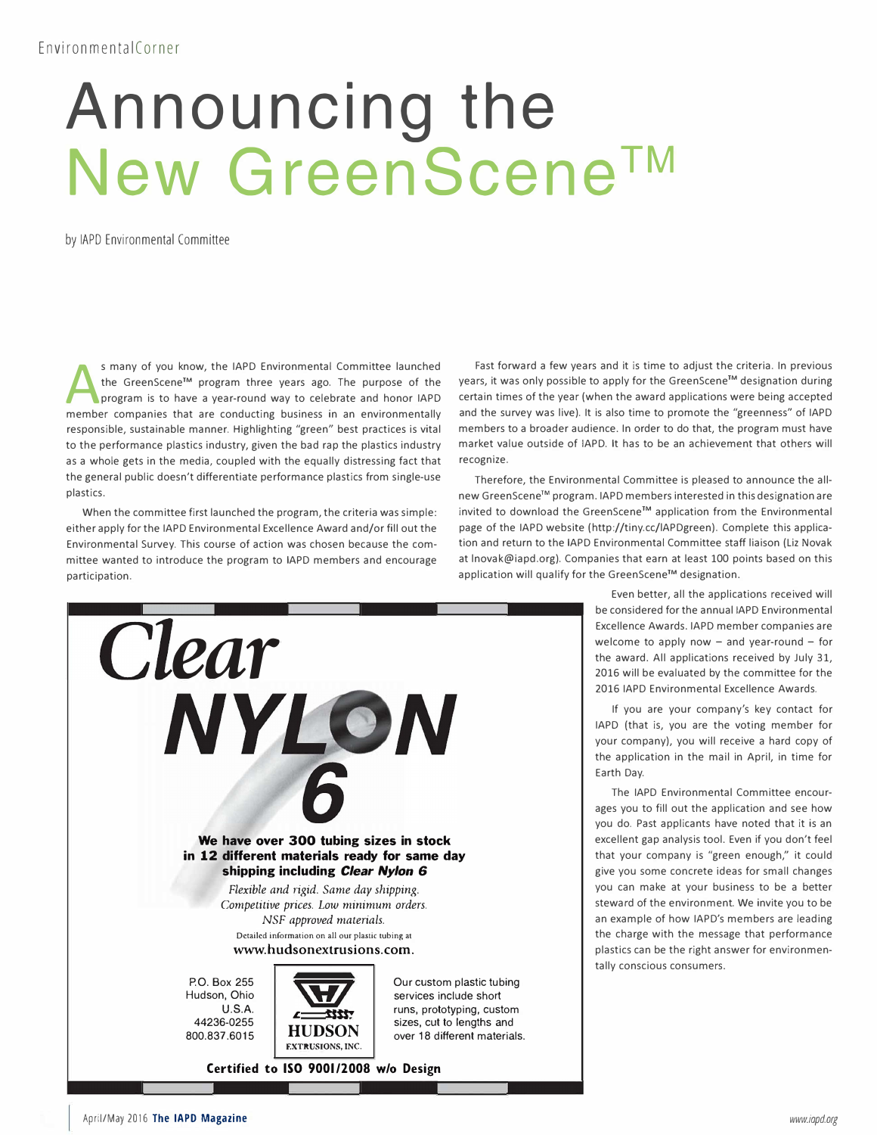## EnvironmentalCorner

## **Announcing the New GreenScene™**

by IAPD Environmental Committee

S many of you know, the IAPD Environmental Committee launched<br>the GreenScene<sup>TM</sup> program three years ago. The purpose of the<br>program is to have a year-round way to celebrate and honor IAPD<br>member companies that are conduct s many of you know, the IAPD Environmental Committee launched the GreenScene™ program three years ago. The purpose of the program is to have a year-round way to celebrate and honor IAPD responsible, sustainable manner. Highlighting "green" best practices is vital to the performance plastics industry, given the bad rap the plastics industry as a whole gets in the media, coupled with the equally distressing fact that the general public doesn't differentiate performance plastics from single-use plastics.

When the committee first launched the program, the criteria was simple: either apply for the IAPD Environmental Excellence Award and/or fill out the Environmental Survey. This course of action was chosen because the committee wanted to introduce the program to IAPD members and encourage participation.



**We have over 300 tubing sizes in stock** 

Fast forward a few years and it is time to adjust the criteria. In previous years, it was only possible to apply for the GreenScene™ designation during certain times of the year (when the award applications were being accepted and the survey was live). It is also time to promote the "greenness" of IAPD members to a broader audience. In order to do that, the program must have market value outside of IAPD. It has to be an achievement that others will recognize.

Therefore, the Environmental Committee is pleased to announce the allnew GreenScene™ program. IAPD members interested in this designation are invited to download the GreenScene™ application from the Environmental page of the IAPD website (http://tiny.cc/lAPDgreen). Complete this application and return to the IAPD Environmental Committee staff liaison (Liz Novak at lnovak@iapd.org). Companies that earn at least 100 points based on this application will qualify for the GreenScene™ designation.



If you are your company's key contact for IAPD (that is, you are the voting member for your company), you will receive a hard copy of the application in the mail in April, in time for Earth Day.

The IAPD Environmental Committee encourages you to fill out the application and see how you do. Past applicants have noted that it is an excellent gap analysis tool. Even if you don't feel

## **in 12 different materials ready for same day shipping including** *Clear Nylon 6*

*Flexible and rigid. Same day shipping. Competitive prices. Low minimum orders. NSF approved materials.* 

**Detailed information on all our plastic tubing at www.hudsonextrusions.com.** 



that your company is "green enough," it could give you some concrete ideas for small changes you can make at your business to be a better steward of the environment. We invite you to be an example of how IAPD's members are leading the charge with the message that performance plastics can be the right answer for environmentally conscious consumers.

April/May 2016 **The IAPD Magazine**